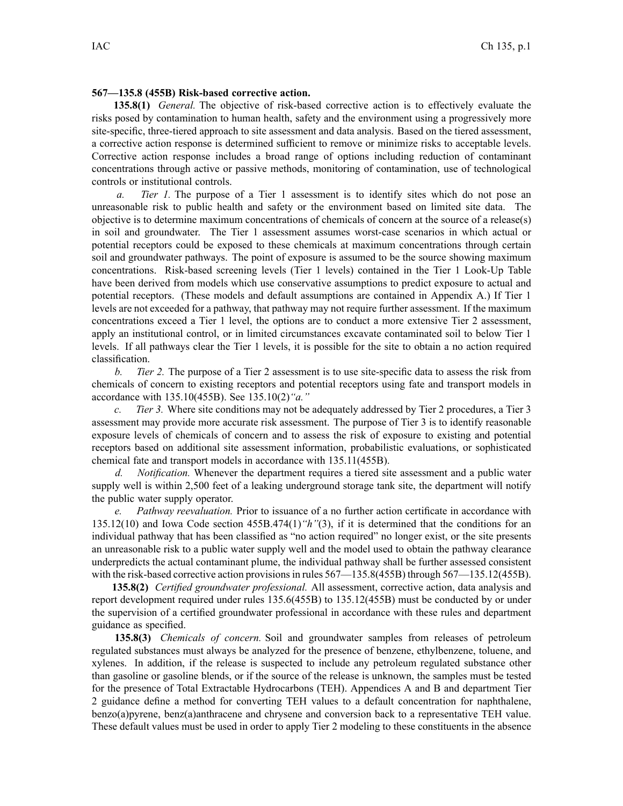## **567—135.8 (455B) Risk-based corrective action.**

**135.8(1)** *General.* The objective of risk-based corrective action is to effectively evaluate the risks posed by contamination to human health, safety and the environment using <sup>a</sup> progressively more site-specific, three-tiered approach to site assessment and data analysis. Based on the tiered assessment, <sup>a</sup> corrective action response is determined sufficient to remove or minimize risks to acceptable levels. Corrective action response includes <sup>a</sup> broad range of options including reduction of contaminant concentrations through active or passive methods, monitoring of contamination, use of technological controls or institutional controls.

*a. Tier 1.* The purpose of <sup>a</sup> Tier 1 assessment is to identify sites which do not pose an unreasonable risk to public health and safety or the environment based on limited site data. The objective is to determine maximum concentrations of chemicals of concern at the source of <sup>a</sup> release(s) in soil and groundwater. The Tier 1 assessment assumes worst-case scenarios in which actual or potential receptors could be exposed to these chemicals at maximum concentrations through certain soil and groundwater pathways. The point of exposure is assumed to be the source showing maximum concentrations. Risk-based screening levels (Tier 1 levels) contained in the Tier 1 Look-Up Table have been derived from models which use conservative assumptions to predict exposure to actual and potential receptors. (These models and default assumptions are contained in Appendix A.) If Tier 1 levels are not exceeded for <sup>a</sup> pathway, that pathway may not require further assessment. If the maximum concentrations exceed <sup>a</sup> Tier 1 level, the options are to conduct <sup>a</sup> more extensive Tier 2 assessment, apply an institutional control, or in limited circumstances excavate contaminated soil to below Tier 1 levels. If all pathways clear the Tier 1 levels, it is possible for the site to obtain <sup>a</sup> no action required classification.

*b. Tier 2.* The purpose of <sup>a</sup> Tier 2 assessment is to use site-specific data to assess the risk from chemicals of concern to existing receptors and potential receptors using fate and transport models in accordance with 135.10(455B). See 135.10(2)*"a."*

*c. Tier 3.* Where site conditions may not be adequately addressed by Tier 2 procedures, <sup>a</sup> Tier 3 assessment may provide more accurate risk assessment. The purpose of Tier 3 is to identify reasonable exposure levels of chemicals of concern and to assess the risk of exposure to existing and potential receptors based on additional site assessment information, probabilistic evaluations, or sophisticated chemical fate and transport models in accordance with 135.11(455B).

*d. Notification.* Whenever the department requires <sup>a</sup> tiered site assessment and <sup>a</sup> public water supply well is within 2,500 feet of <sup>a</sup> leaking underground storage tank site, the department will notify the public water supply operator.

*e. Pathway reevaluation.* Prior to issuance of <sup>a</sup> no further action certificate in accordance with 135.12(10) and Iowa Code section 455B.474(1)*"h"*(3), if it is determined that the conditions for an individual pathway that has been classified as "no action required" no longer exist, or the site presents an unreasonable risk to <sup>a</sup> public water supply well and the model used to obtain the pathway clearance underpredicts the actual contaminant plume, the individual pathway shall be further assessed consistent with the risk-based corrective action provisions in rules  $567 - 135.8(455B)$  through  $567 - 135.12(455B)$ .

**135.8(2)** *Certified groundwater professional.* All assessment, corrective action, data analysis and repor<sup>t</sup> development required under rules 135.6(455B) to 135.12(455B) must be conducted by or under the supervision of <sup>a</sup> certified groundwater professional in accordance with these rules and department guidance as specified.

**135.8(3)** *Chemicals of concern.* Soil and groundwater samples from releases of petroleum regulated substances must always be analyzed for the presence of benzene, ethylbenzene, toluene, and xylenes. In addition, if the release is suspected to include any petroleum regulated substance other than gasoline or gasoline blends, or if the source of the release is unknown, the samples must be tested for the presence of Total Extractable Hydrocarbons (TEH). Appendices A and B and department Tier 2 guidance define <sup>a</sup> method for converting TEH values to <sup>a</sup> default concentration for naphthalene, benzo(a)pyrene, benz(a)anthracene and chrysene and conversion back to <sup>a</sup> representative TEH value. These default values must be used in order to apply Tier 2 modeling to these constituents in the absence